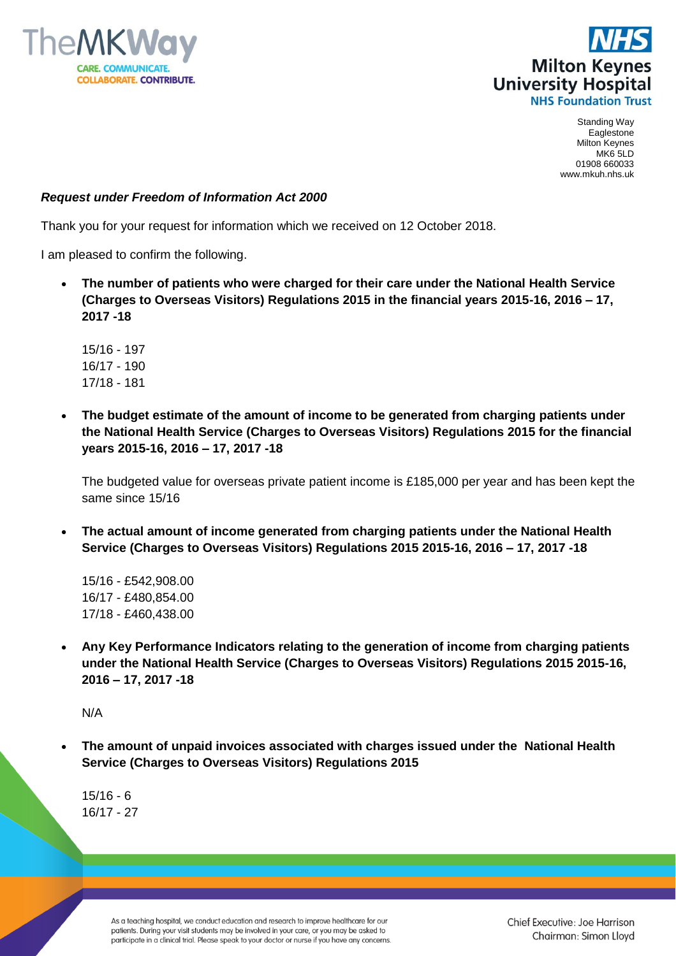



Standing Way Eaglestone Milton Keynes MK6 5LD 01908 660033 www.mkuh.nhs.uk

## *Request under Freedom of Information Act 2000*

Thank you for your request for information which we received on 12 October 2018.

I am pleased to confirm the following.

 **The number of patients who were charged for their care under the National Health Service (Charges to Overseas Visitors) Regulations 2015 in the financial years 2015-16, 2016 – 17, 2017 -18**

15/16 - 197 16/17 - 190 17/18 - 181

 **The budget estimate of the amount of income to be generated from charging patients under the National Health Service (Charges to Overseas Visitors) Regulations 2015 for the financial years 2015-16, 2016 – 17, 2017 -18** 

The budgeted value for overseas private patient income is £185,000 per year and has been kept the same since 15/16

 **The actual amount of income generated from charging patients under the National Health Service (Charges to Overseas Visitors) Regulations 2015 2015-16, 2016 – 17, 2017 -18**

15/16 - £542,908.00 16/17 - £480,854.00 17/18 - £460,438.00

 **Any Key Performance Indicators relating to the generation of income from charging patients under the National Health Service (Charges to Overseas Visitors) Regulations 2015 2015-16, 2016 – 17, 2017 -18**

N/A

 **The amount of unpaid invoices associated with charges issued under the National Health Service (Charges to Overseas Visitors) Regulations 2015** 

15/16 - 6 16/17 - 27

> As a teaching hospital, we conduct education and research to improve healthcare for our patients. During your visit students may be involved in your care, or you may be asked to participate in a clinical trial. Please speak to your doctor or nurse if you have any concerns.

Chief Executive: Joe Harrison Chairman: Simon Lloyd